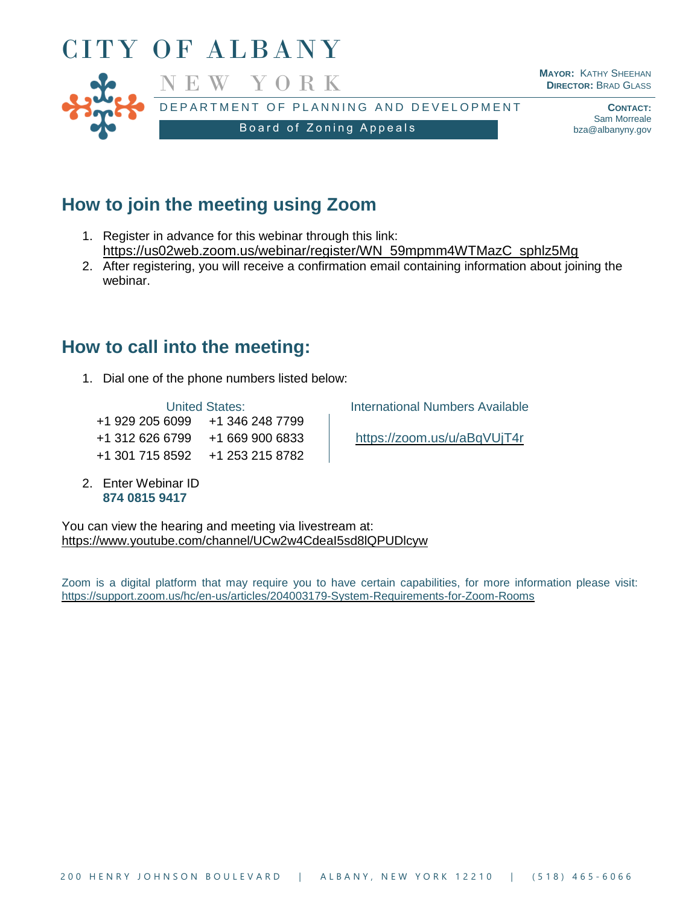

## **How to join the meeting using Zoom**

- 1. Register in advance for this webinar through this link: [https://us02web.zoom.us/webinar/register/WN\\_59mpmm4WTMazC\\_sphlz5Mg](https://us02web.zoom.us/webinar/register/WN_59mpmm4WTMazC_sphlz5Mg)
- 2. After registering, you will receive a confirmation email containing information about joining the webinar.

## **How to call into the meeting:**

1. Dial one of the phone numbers listed below:

+1 929 205 6099 +1 346 248 7799 +1 312 626 6799 +1 669 900 6833 <https://zoom.us/u/aBqVUjT4r> +1 301 715 8592 +1 253 215 8782

2. Enter Webinar ID **874 0815 9417**

United States: **International Numbers Available** 

You can view the hearing and meeting via livestream at: <https://www.youtube.com/channel/UCw2w4CdeaI5sd8lQPUDlcyw>

Zoom is a digital platform that may require you to have certain capabilities, for more information please visit: <https://support.zoom.us/hc/en-us/articles/204003179-System-Requirements-for-Zoom-Rooms>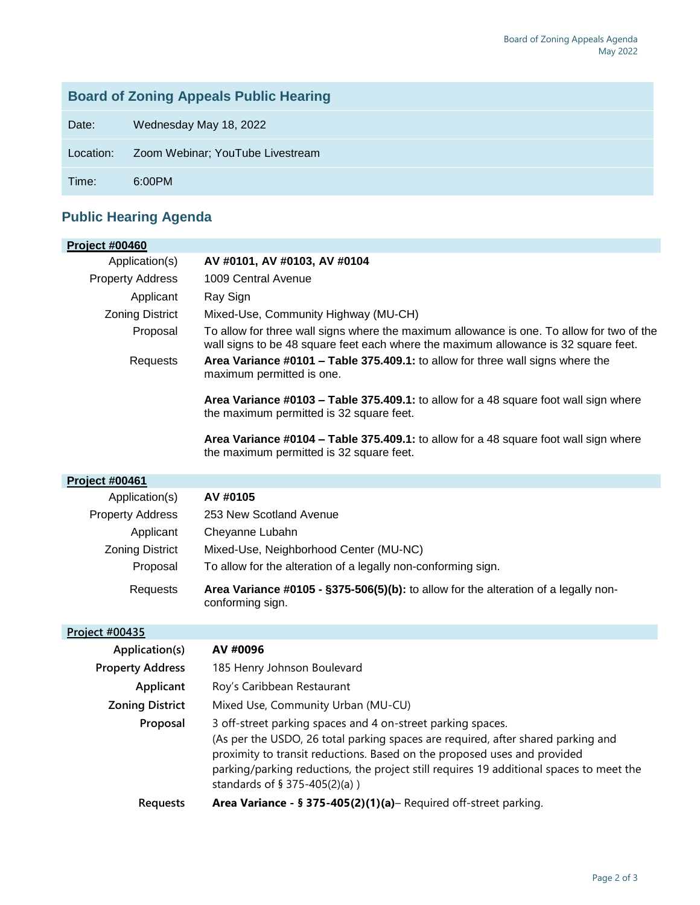## **Board of Zoning Appeals Public Hearing**

Date: Wednesday May 18, 2022

Location: Zoom Webinar; YouTube Livestream

Time: 6:00PM

## **Public Hearing Agenda**

| <b>Project #00460</b>   |                                                                                                                                                                                                                                                                                                                                                         |
|-------------------------|---------------------------------------------------------------------------------------------------------------------------------------------------------------------------------------------------------------------------------------------------------------------------------------------------------------------------------------------------------|
| Application(s)          | AV #0101, AV #0103, AV #0104                                                                                                                                                                                                                                                                                                                            |
| <b>Property Address</b> | 1009 Central Avenue                                                                                                                                                                                                                                                                                                                                     |
| Applicant               | Ray Sign                                                                                                                                                                                                                                                                                                                                                |
| <b>Zoning District</b>  | Mixed-Use, Community Highway (MU-CH)                                                                                                                                                                                                                                                                                                                    |
| Proposal                | To allow for three wall signs where the maximum allowance is one. To allow for two of the<br>wall signs to be 48 square feet each where the maximum allowance is 32 square feet.                                                                                                                                                                        |
| Requests                | Area Variance #0101 - Table 375.409.1: to allow for three wall signs where the<br>maximum permitted is one.                                                                                                                                                                                                                                             |
|                         | Area Variance #0103 - Table 375.409.1: to allow for a 48 square foot wall sign where<br>the maximum permitted is 32 square feet.                                                                                                                                                                                                                        |
|                         | Area Variance #0104 - Table 375.409.1: to allow for a 48 square foot wall sign where<br>the maximum permitted is 32 square feet.                                                                                                                                                                                                                        |
| Project #00461          |                                                                                                                                                                                                                                                                                                                                                         |
| Application(s)          | AV #0105                                                                                                                                                                                                                                                                                                                                                |
| <b>Property Address</b> | 253 New Scotland Avenue                                                                                                                                                                                                                                                                                                                                 |
| Applicant               | Cheyanne Lubahn                                                                                                                                                                                                                                                                                                                                         |
| <b>Zoning District</b>  | Mixed-Use, Neighborhood Center (MU-NC)                                                                                                                                                                                                                                                                                                                  |
| Proposal                | To allow for the alteration of a legally non-conforming sign.                                                                                                                                                                                                                                                                                           |
| Requests                | Area Variance #0105 - §375-506(5)(b): to allow for the alteration of a legally non-<br>conforming sign.                                                                                                                                                                                                                                                 |
| Project #00435          |                                                                                                                                                                                                                                                                                                                                                         |
| Application(s)          | AV #0096                                                                                                                                                                                                                                                                                                                                                |
| <b>Property Address</b> | 185 Henry Johnson Boulevard                                                                                                                                                                                                                                                                                                                             |
| Applicant               | Roy's Caribbean Restaurant                                                                                                                                                                                                                                                                                                                              |
| <b>Zoning District</b>  | Mixed Use, Community Urban (MU-CU)                                                                                                                                                                                                                                                                                                                      |
| Proposal                | 3 off-street parking spaces and 4 on-street parking spaces.<br>(As per the USDO, 26 total parking spaces are required, after shared parking and<br>proximity to transit reductions. Based on the proposed uses and provided<br>parking/parking reductions, the project still requires 19 additional spaces to meet the<br>standards of § 375-405(2)(a)) |
| Requests                | Area Variance - § 375-405(2)(1)(a)-Required off-street parking.                                                                                                                                                                                                                                                                                         |